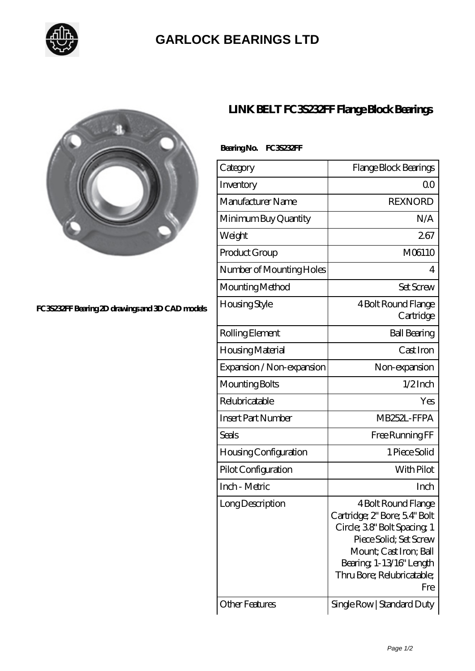

## **[GARLOCK BEARINGS LTD](https://m.letterstopriests.com)**



## **[FC3S232FF Bearing 2D drawings and 3D CAD models](https://m.letterstopriests.com/pic-188740.html)**

## **[LINK BELT FC3S232FF Flange Block Bearings](https://m.letterstopriests.com/bb-188740-link-belt-fc3s232ff-flange-block-bearings.html)**

| Bearing No. | FC3S232FF |
|-------------|-----------|
|             |           |

| Category                     | Flange Block Bearings                                                                                                                                                                                  |
|------------------------------|--------------------------------------------------------------------------------------------------------------------------------------------------------------------------------------------------------|
| Inventory                    | 00                                                                                                                                                                                                     |
| Manufacturer Name            | <b>REXNORD</b>                                                                                                                                                                                         |
| Minimum Buy Quantity         | N/A                                                                                                                                                                                                    |
| Weight                       | 267                                                                                                                                                                                                    |
| Product Group                | M06110                                                                                                                                                                                                 |
| Number of Mounting Holes     | 4                                                                                                                                                                                                      |
| Mounting Method              | <b>Set Screw</b>                                                                                                                                                                                       |
| Housing Style                | 4 Bolt Round Flange<br>Cartridge                                                                                                                                                                       |
| Rolling Element              | <b>Ball Bearing</b>                                                                                                                                                                                    |
| Housing Material             | Cast Iron                                                                                                                                                                                              |
| Expansion / Non-expansion    | Non-expansion                                                                                                                                                                                          |
| Mounting Bolts               | $1/2$ Inch                                                                                                                                                                                             |
| Relubricatable               | Yes                                                                                                                                                                                                    |
| <b>Insert Part Number</b>    | MB252L-FFPA                                                                                                                                                                                            |
| Seals                        | Free Running FF                                                                                                                                                                                        |
| <b>Housing Configuration</b> | 1 Piece Solid                                                                                                                                                                                          |
| Pilot Configuration          | With Pilot                                                                                                                                                                                             |
| Inch - Metric                | Inch                                                                                                                                                                                                   |
| Long Description             | 4 Bolt Round Flange<br>Cartridge; 2" Bore; 54" Bolt<br>Circle; 38" Bolt Spacing; 1<br>Piece Solid; Set Screw<br>Mount; Cast Iron; Ball<br>Bearing 1-13/16" Length<br>Thru Bore; Relubricatable;<br>Fre |
| <b>Other Features</b>        | Single Row   Standard Duty                                                                                                                                                                             |